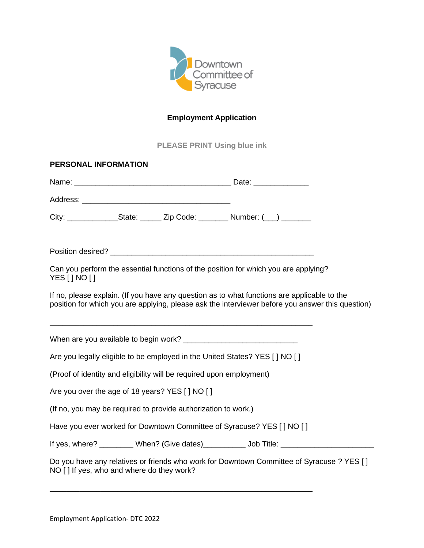

# **Employment Application**

**PLEASE PRINT Using blue ink**

| PERSONAL INFORMATION                                                                                                                                                                            |  |  |                                                                                     |                                                                                           |  |  |
|-------------------------------------------------------------------------------------------------------------------------------------------------------------------------------------------------|--|--|-------------------------------------------------------------------------------------|-------------------------------------------------------------------------------------------|--|--|
|                                                                                                                                                                                                 |  |  |                                                                                     |                                                                                           |  |  |
|                                                                                                                                                                                                 |  |  |                                                                                     |                                                                                           |  |  |
|                                                                                                                                                                                                 |  |  | City: ________________State: _______ Zip Code: ________ Number: (___) ________      |                                                                                           |  |  |
|                                                                                                                                                                                                 |  |  |                                                                                     |                                                                                           |  |  |
| YES [ ] NO [ ]                                                                                                                                                                                  |  |  | Can you perform the essential functions of the position for which you are applying? |                                                                                           |  |  |
| If no, please explain. (If you have any question as to what functions are applicable to the<br>position for which you are applying, please ask the interviewer before you answer this question) |  |  |                                                                                     |                                                                                           |  |  |
|                                                                                                                                                                                                 |  |  |                                                                                     |                                                                                           |  |  |
| Are you legally eligible to be employed in the United States? YES [ ] NO [ ]                                                                                                                    |  |  |                                                                                     |                                                                                           |  |  |
| (Proof of identity and eligibility will be required upon employment)                                                                                                                            |  |  |                                                                                     |                                                                                           |  |  |
| Are you over the age of 18 years? YES [ ] NO [ ]                                                                                                                                                |  |  |                                                                                     |                                                                                           |  |  |
| (If no, you may be required to provide authorization to work.)                                                                                                                                  |  |  |                                                                                     |                                                                                           |  |  |
|                                                                                                                                                                                                 |  |  | Have you ever worked for Downtown Committee of Syracuse? YES [ ] NO [ ]             |                                                                                           |  |  |
|                                                                                                                                                                                                 |  |  |                                                                                     |                                                                                           |  |  |
| NO [] If yes, who and where do they work?                                                                                                                                                       |  |  |                                                                                     | Do you have any relatives or friends who work for Downtown Committee of Syracuse ? YES [] |  |  |

\_\_\_\_\_\_\_\_\_\_\_\_\_\_\_\_\_\_\_\_\_\_\_\_\_\_\_\_\_\_\_\_\_\_\_\_\_\_\_\_\_\_\_\_\_\_\_\_\_\_\_\_\_\_\_\_\_\_\_\_\_\_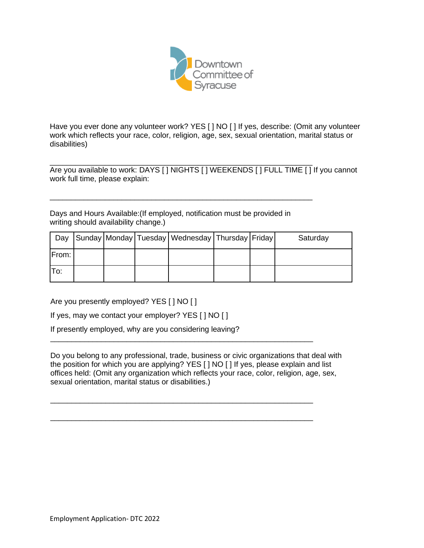

Have you ever done any volunteer work? YES [ ] NO [ ] If yes, describe: (Omit any volunteer work which reflects your race, color, religion, age, sex, sexual orientation, marital status or disabilities)

\_\_\_\_\_\_\_\_\_\_\_\_\_\_\_\_\_\_\_\_\_\_\_\_\_\_\_\_\_\_\_\_\_\_\_\_\_\_\_\_\_\_\_\_\_\_\_\_\_\_\_\_\_\_\_\_\_\_\_\_\_\_ Are you available to work: DAYS [ ] NIGHTS [ ] WEEKENDS [ ] FULL TIME [ ] If you cannot work full time, please explain:

Days and Hours Available:(If employed, notification must be provided in writing should availability change.)

\_\_\_\_\_\_\_\_\_\_\_\_\_\_\_\_\_\_\_\_\_\_\_\_\_\_\_\_\_\_\_\_\_\_\_\_\_\_\_\_\_\_\_\_\_\_\_\_\_\_\_\_\_\_\_\_\_\_\_\_\_\_

| Day   |  | Sunday Monday Tuesday   Wednesday   Thursday   Friday |  | Saturday |
|-------|--|-------------------------------------------------------|--|----------|
| From: |  |                                                       |  |          |
| lTo:  |  |                                                       |  |          |

Are you presently employed? YES [ ] NO [ ]

If yes, may we contact your employer? YES [ ] NO [ ]

If presently employed, why are you considering leaving?

Do you belong to any professional, trade, business or civic organizations that deal with the position for which you are applying? YES [ ] NO [ ] If yes, please explain and list offices held: (Omit any organization which reflects your race, color, religion, age, sex, sexual orientation, marital status or disabilities.)

\_\_\_\_\_\_\_\_\_\_\_\_\_\_\_\_\_\_\_\_\_\_\_\_\_\_\_\_\_\_\_\_\_\_\_\_\_\_\_\_\_\_\_\_\_\_\_\_\_\_\_\_\_\_\_\_\_\_\_\_\_\_

\_\_\_\_\_\_\_\_\_\_\_\_\_\_\_\_\_\_\_\_\_\_\_\_\_\_\_\_\_\_\_\_\_\_\_\_\_\_\_\_\_\_\_\_\_\_\_\_\_\_\_\_\_\_\_\_\_\_\_\_\_\_

\_\_\_\_\_\_\_\_\_\_\_\_\_\_\_\_\_\_\_\_\_\_\_\_\_\_\_\_\_\_\_\_\_\_\_\_\_\_\_\_\_\_\_\_\_\_\_\_\_\_\_\_\_\_\_\_\_\_\_\_\_\_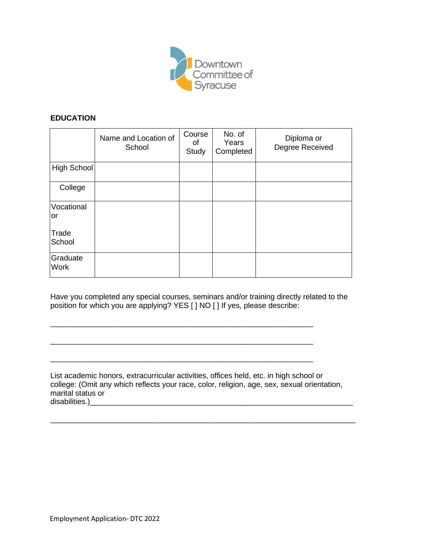

#### **EDUCATION**

|                         | Name and Location of<br>School | Course<br>οf<br>Study | No. of<br>Years<br>Completed | Diploma or<br>Degree Received |
|-------------------------|--------------------------------|-----------------------|------------------------------|-------------------------------|
| High School             |                                |                       |                              |                               |
| College                 |                                |                       |                              |                               |
| Vocational<br>lor       |                                |                       |                              |                               |
| Trade<br>School         |                                |                       |                              |                               |
| Graduate<br><b>Work</b> |                                |                       |                              |                               |

Have you completed any special courses, seminars and/or training directly related to the position for which you are applying? YES [ ] NO [ ] If yes, please describe:

\_\_\_\_\_\_\_\_\_\_\_\_\_\_\_\_\_\_\_\_\_\_\_\_\_\_\_\_\_\_\_\_\_\_\_\_\_\_\_\_\_\_\_\_\_\_\_\_\_\_\_\_\_\_\_\_\_\_\_\_\_\_

\_\_\_\_\_\_\_\_\_\_\_\_\_\_\_\_\_\_\_\_\_\_\_\_\_\_\_\_\_\_\_\_\_\_\_\_\_\_\_\_\_\_\_\_\_\_\_\_\_\_\_\_\_\_\_\_\_\_\_\_\_\_

\_\_\_\_\_\_\_\_\_\_\_\_\_\_\_\_\_\_\_\_\_\_\_\_\_\_\_\_\_\_\_\_\_\_\_\_\_\_\_\_\_\_\_\_\_\_\_\_\_\_\_\_\_\_\_\_\_\_\_\_\_\_

List academic honors, extracurricular activities, offices held, etc. in high school or college: (Omit any which reflects your race, color, religion, age, sex, sexual orientation, marital status or disabilities.)

\_\_\_\_\_\_\_\_\_\_\_\_\_\_\_\_\_\_\_\_\_\_\_\_\_\_\_\_\_\_\_\_\_\_\_\_\_\_\_\_\_\_\_\_\_\_\_\_\_\_\_\_\_\_\_\_\_\_\_\_\_\_\_\_\_\_\_\_\_\_\_\_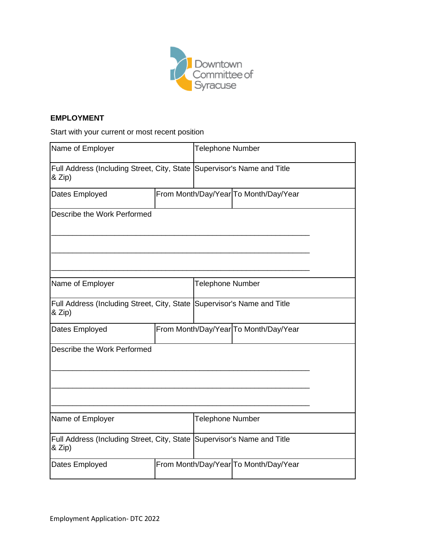

#### **EMPLOYMENT**

Start with your current or most recent position

| Name of Employer                                                                    | <b>Telephone Number</b> |                  |                                       |  |
|-------------------------------------------------------------------------------------|-------------------------|------------------|---------------------------------------|--|
| Full Address (Including Street, City, State Supervisor's Name and Title<br>$&$ Zip) |                         |                  |                                       |  |
| Dates Employed                                                                      |                         |                  | From Month/Day/Year To Month/Day/Year |  |
| Describe the Work Performed                                                         |                         |                  |                                       |  |
| Name of Employer                                                                    |                         | Telephone Number |                                       |  |
| Full Address (Including Street, City, State Supervisor's Name and Title<br>& Zip)   |                         |                  |                                       |  |
| Dates Employed                                                                      |                         |                  | From Month/Day/Year To Month/Day/Year |  |
| Describe the Work Performed                                                         |                         |                  |                                       |  |
| Name of Employer                                                                    |                         | Telephone Number |                                       |  |
| Full Address (Including Street, City, State Supervisor's Name and Title<br>& Zip)   |                         |                  |                                       |  |
| Dates Employed                                                                      |                         |                  | From Month/Day/Year To Month/Day/Year |  |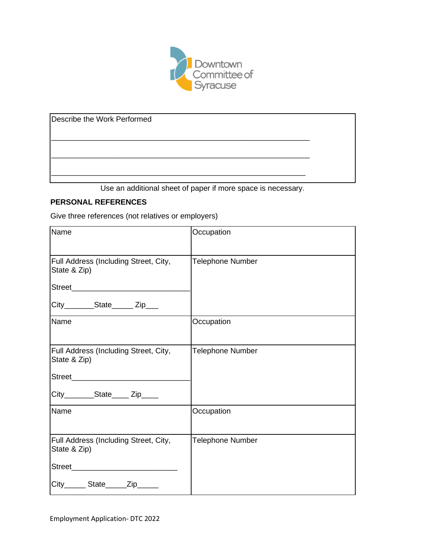

Describe the Work Performed

Use an additional sheet of paper if more space is necessary.

\_\_\_\_\_\_\_\_\_\_\_\_\_\_\_\_\_\_\_\_\_\_\_\_\_\_\_\_\_\_\_\_\_\_\_\_\_\_\_\_\_\_\_\_\_\_\_\_\_\_\_\_\_\_\_\_\_\_\_\_\_

\_\_\_\_\_\_\_\_\_\_\_\_\_\_\_\_\_\_\_\_\_\_\_\_\_\_\_\_\_\_\_\_\_\_\_\_\_\_\_\_\_\_\_\_\_\_\_\_\_\_\_\_\_\_\_\_\_\_\_\_\_

\_\_\_\_\_\_\_\_\_\_\_\_\_\_\_\_\_\_\_\_\_\_\_\_\_\_\_\_\_\_\_\_\_\_\_\_\_\_\_\_\_\_\_\_\_\_\_\_\_\_\_\_\_\_\_\_\_\_\_\_

## **PERSONAL REFERENCES**

Give three references (not relatives or employers)

| Name                                                  | Occupation              |
|-------------------------------------------------------|-------------------------|
| Full Address (Including Street, City,<br>State & Zip) | <b>Telephone Number</b> |
| Street___________________________                     |                         |
| City________State______Zip___                         |                         |
| Name                                                  | Occupation              |
| Full Address (Including Street, City,<br>State & Zip) | <b>Telephone Number</b> |
|                                                       |                         |
| City________State_____Zip____                         |                         |
| <b>Name</b>                                           | Occupation              |
| Full Address (Including Street, City,<br>State & Zip) | <b>Telephone Number</b> |
|                                                       |                         |
| City_______ State______Zip______                      |                         |